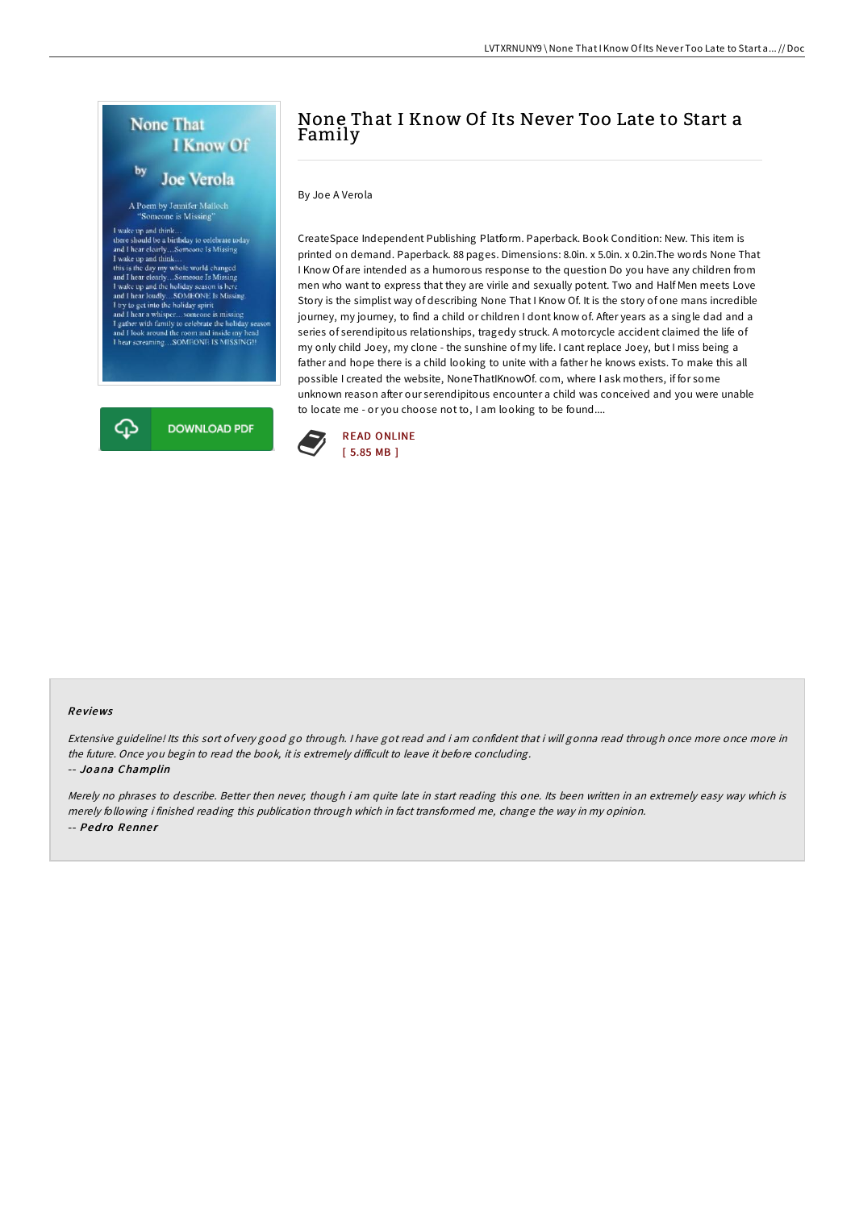

# None That I Know Of Its Never Too Late to Start a Family

By Joe A Verola

CreateSpace Independent Publishing Platform. Paperback. Book Condition: New. This item is printed on demand. Paperback. 88 pages. Dimensions: 8.0in. x 5.0in. x 0.2in.The words None That I Know Of are intended as a humorous response to the question Do you have any children from men who want to express that they are virile and sexually potent. Two and Half Men meets Love Story is the simplist way of describing None That I Know Of. It is the story of one mans incredible journey, my journey, to find a child or children I dont know of. After years as a single dad and a series of serendipitous relationships, tragedy struck. A motorcycle accident claimed the life of my only child Joey, my clone - the sunshine of my life. I cant replace Joey, but I miss being a father and hope there is a child looking to unite with a father he knows exists. To make this all possible I created the website, NoneThatIKnowOf. com, where I ask mothers, if for some unknown reason after our serendipitous encounter a child was conceived and you were unable to locate me - or you choose not to, I am looking to be found....



#### Re views

Extensive guideline! Its this sort of very good go through. <sup>I</sup> have got read and i am confident that i will gonna read through once more once more in the future. Once you begin to read the book, it is extremely difficult to leave it before concluding. -- Jo ana Champlin

Merely no phrases to describe. Better then never, though i am quite late in start reading this one. Its been written in an extremely easy way which is merely following i finished reading this publication through which in fact transformed me, change the way in my opinion. -- Pedro Renner